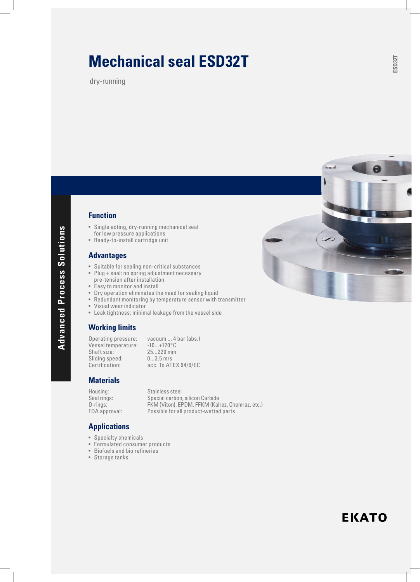# **Mechanical seal ESD32T**

dry-running

## **Function**

- Single acting, dry-running mechanical seal for low pressure applications
- Ready-to-install cartridge unit

#### **Advantages**

- Suitable for sealing non-critical substances
- Plug + seal: no spring adjustment necessary
- pre-tension after installation
- Easy to monitor and install
- Dry operation eliminates the need for sealing liquid
- Redundant monitoring by temperature sensor with transmitter
- Visual wear indicator
- Leak tightness: minimal leakage from the vessel side

#### **Working limits**

Operating pressure: vacuum ... 4 bar (abs.)<br>Vessel temperature: -10...+120°C Vessel temperature:<br>Shaft size: Sliding speed:<br>Certification:

 $25...220$  mm<br> $0...3,5$  m/s acc. To ATEX 94/9/EC

#### **Materials**

Housing: Stainless steel<br>Seal rings: Special carbon

Seal rings: Special carbon, silicon Carbide<br>O-rings: FKM (Viton), EPDM, FFKM (Kal O-rings: FKM (Viton), EPDM, FFKM (Kalrez, Chemraz, etc.)<br>
FDA approval: Possible for all product-wetted parts Possible for all product-wetted parts

### **Applications**

- Specialty chemicals
- Formulated consumer products
- Biofuels and bio refineries
- Storage tanks



# **EKATO**